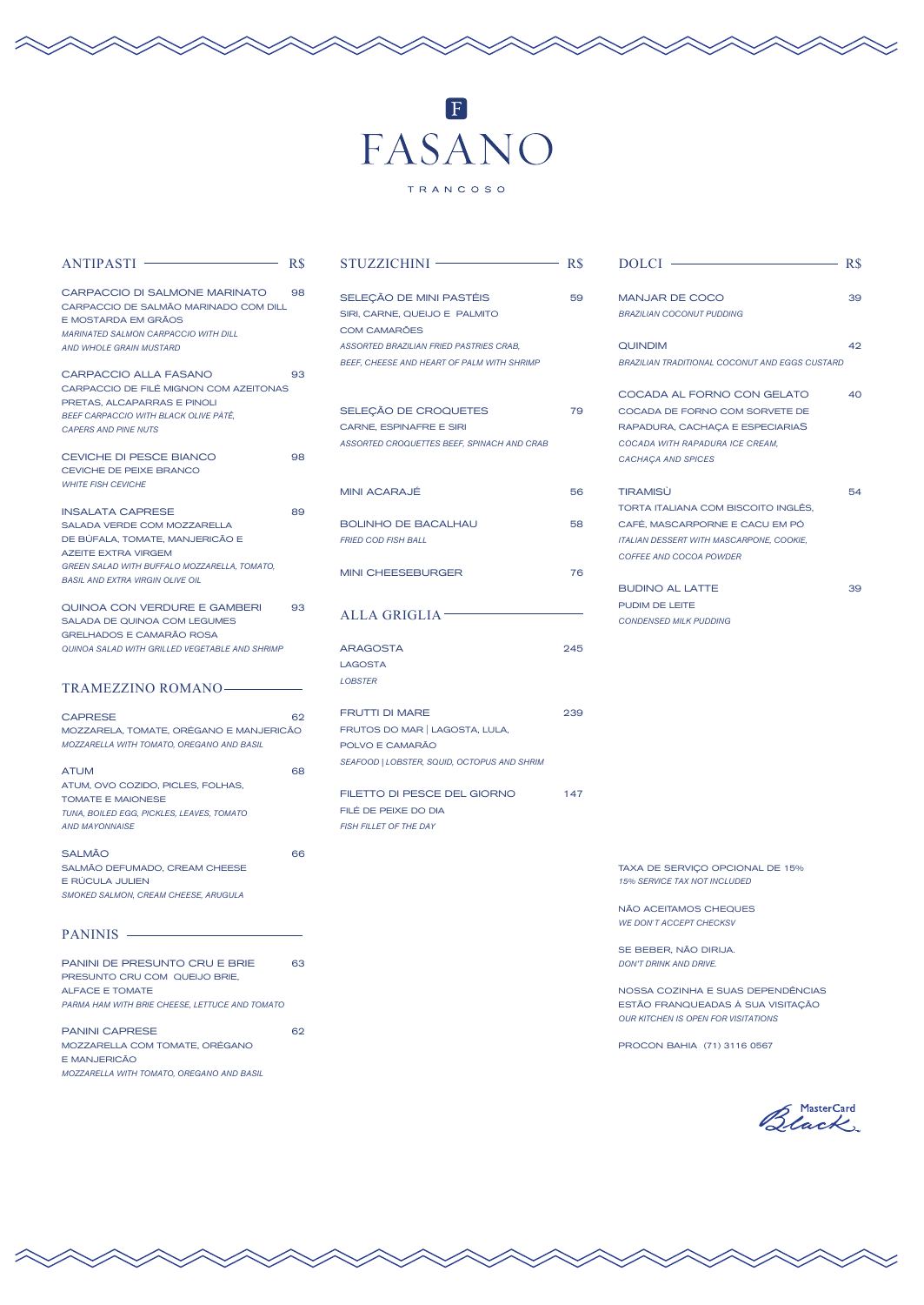## FASANO

TRANCOSO

| $ANTIPASTI$ –                                                                                                                                                                                                      | R\$ |
|--------------------------------------------------------------------------------------------------------------------------------------------------------------------------------------------------------------------|-----|
| CARPACCIO DI SALMONE MARINATO<br>CARPACCIO DE SALMÃO MARINADO COM DILL<br>E MOSTARDA EM GRÃOS<br><b>MARINATED SALMON CARPACCIO WITH DILL</b><br><b>AND WHOLE GRAIN MUSTARD</b>                                     | 98  |
| <b>CARPACCIO ALLA FASANO</b><br>CARPACCIO DE FILÉ MIGNON COM AZEITONAS<br>PRETAS, ALCAPARRAS E PINOLI<br>BEEF CARPACCIO WITH BLACK OLIVE PATË,<br><b>CAPERS AND PINE NUTS</b>                                      | 93  |
| <b>CEVICHE DI PESCE BIANCO</b><br>CEVICHE DE PEIXE BRANCO<br><b>WHITE FISH CEVICHE</b>                                                                                                                             | 98  |
| <b>INSALATA CAPRESE</b><br>SALADA VERDE COM MOZZARELLA<br>DE BÚFALA, TOMATE, MANJERICÃO E<br><b>AZEITE EXTRA VIRGEM</b><br>GREEN SALAD WITH BUFFALO MOZZARELLA, TOMATO,<br><b>BASIL AND EXTRA VIRGIN OLIVE OIL</b> | 89  |
| QUINOA CON VERDURE E GAMBERI<br><b>SALADA DE QUINOA COM LEGUMES</b><br><b>GRELHADOS E CAMARÃO ROSA</b><br>QUINOA SALAD WITH GRILLED VEGETABLE AND SHRIMP                                                           | 93  |
|                                                                                                                                                                                                                    |     |
| <b>TRAMEZZINO ROMANO-</b>                                                                                                                                                                                          |     |
| <b>CAPRESE</b><br>MOZZARELA, TOMATE, ORÉGANO E MANJERICÃO<br>MOZZARELLA WITH TOMATO, OREGANO AND BASIL                                                                                                             | 62  |
| <b>ATUM</b><br>ATUM, OVO COZIDO, PICLES, FOLHAS,<br><b>TOMATE E MAIONESE</b><br>TUNA, BOILED EGG, PICKLES, LEAVES, TOMATO<br><b>AND MAYONNAISE</b>                                                                 | 68  |
| <b>SALMÃO</b><br>SALMÃO DEFUMADO, CREAM CHEESE<br>E RÚCULA JULIEN<br>SMOKED SALMON, CREAM CHEESE, ARUGULA                                                                                                          | 66  |
| PANINIS —                                                                                                                                                                                                          |     |
| PANINI DE PRESUNTO CRU E BRIE<br>PRESUNTO CRU COM QUEIJO BRIE,<br><b>ALFACE E TOMATE</b><br>PARMA HAM WITH BRIE CHEESE, LETTUCE AND TOMATO                                                                         | 63  |

| STUZZICHINI -                                                                                                                                                            | $\overline{\phantom{0}}$<br>R\$ |
|--------------------------------------------------------------------------------------------------------------------------------------------------------------------------|---------------------------------|
| SELEÇÃO DE MINI PASTÉIS<br>SIRI, CARNE, QUEIJO E PALMITO<br><b>COM CAMARÕES</b><br>ASSORTED BRAZILIAN FRIED PASTRIES CRAB,<br>BEEF, CHEESE AND HEART OF PALM WITH SHRIMP | 59                              |
| SELEÇÃO DE CROQUETES<br>CARNE, ESPINAFRE E SIRI<br>ASSORTED CROQUETTES BEEF, SPINACH AND CRAB                                                                            | 79                              |
| <b>MINI ACARAJÉ</b>                                                                                                                                                      | 56                              |
| <b>BOLINHO DE BACALHAU</b><br><b>FRIED COD FISH BALL</b>                                                                                                                 | 58                              |
| <b>MINI CHEESEBURGER</b>                                                                                                                                                 | 76                              |
| <b>ALLA GRIGLIA</b>                                                                                                                                                      |                                 |
| <b>ARAGOSTA</b><br><b>LAGOSTA</b><br><b>LOBSTER</b>                                                                                                                      | 245                             |
| <b>FRUTTI DI MARE</b><br>FRUTOS DO MAR   LAGOSTA, LULA,<br>POLVO E CAMARÃO<br>SEAFOOD   LOBSTER, SQUID, OCTOPUS AND SHRIM                                                | 239                             |
| FILETTO DI PESCE DEL GIORNO<br>FILÉ DE PEIXE DO DIA<br><b>FISH FILLET OF THE DAY</b>                                                                                     | 147                             |
|                                                                                                                                                                          |                                 |
|                                                                                                                                                                          |                                 |

| DOLCI-                                                                                                                                                                                                                    | R\$ |
|---------------------------------------------------------------------------------------------------------------------------------------------------------------------------------------------------------------------------|-----|
| <b>MANJAR DE COCO</b><br><b>BRAZILIAN COCONUT PUDDING</b>                                                                                                                                                                 | 39  |
| <b>QUINDIM</b><br><b>BRAZILIAN TRADITIONAL COCONUT AND EGGS CUSTARD</b>                                                                                                                                                   | 42  |
| COCADA AL FORNO CON GELATO<br>COCADA DE FORNO COM SORVETE DE<br>RAPADURA, CACHAÇA E ESPECIARIAS<br>COCADA WITH RAPADURA ICE CREAM,<br>CACHAÇA AND SPICES                                                                  | 40  |
| <b>TIRAMISÙ</b><br>TORTA ITALIANA COM BISCOITO INGLÊS,<br>CAFÉ, MASCARPORNE E CACU EM PÓ<br>ITALIAN DESSERT WITH MASCARPONE, COOKIE,<br>COFFEE AND COCOA POWDER                                                           | 54  |
| <b>BUDINO AL LATTE</b><br>PUDIM DE LEITE<br><b>CONDENSED MILK PUDDING</b>                                                                                                                                                 | 39  |
| TAXA DE SERVIÇO OPCIONAL DE 15%<br>15% SERVICE TAX NOT INCLUDED<br>NÃO ACEITAMOS CHEQUES<br><b>WE DON'T ACCEPT CHECKSV</b><br>SE BEBER, NÃO DIRIJA.<br><b>DON'T DRINK AND DRIVE.</b><br>NOSSA COZINHA E SUAS DEPENDÊNCIAS |     |
| ESTÃO FRANQUEADAS À SUA VISITAÇÃO<br><b>OUR KITCHEN IS OPEN FOR VISITATIONS</b>                                                                                                                                           |     |

PROCON BAHIA (71) 3116 0567